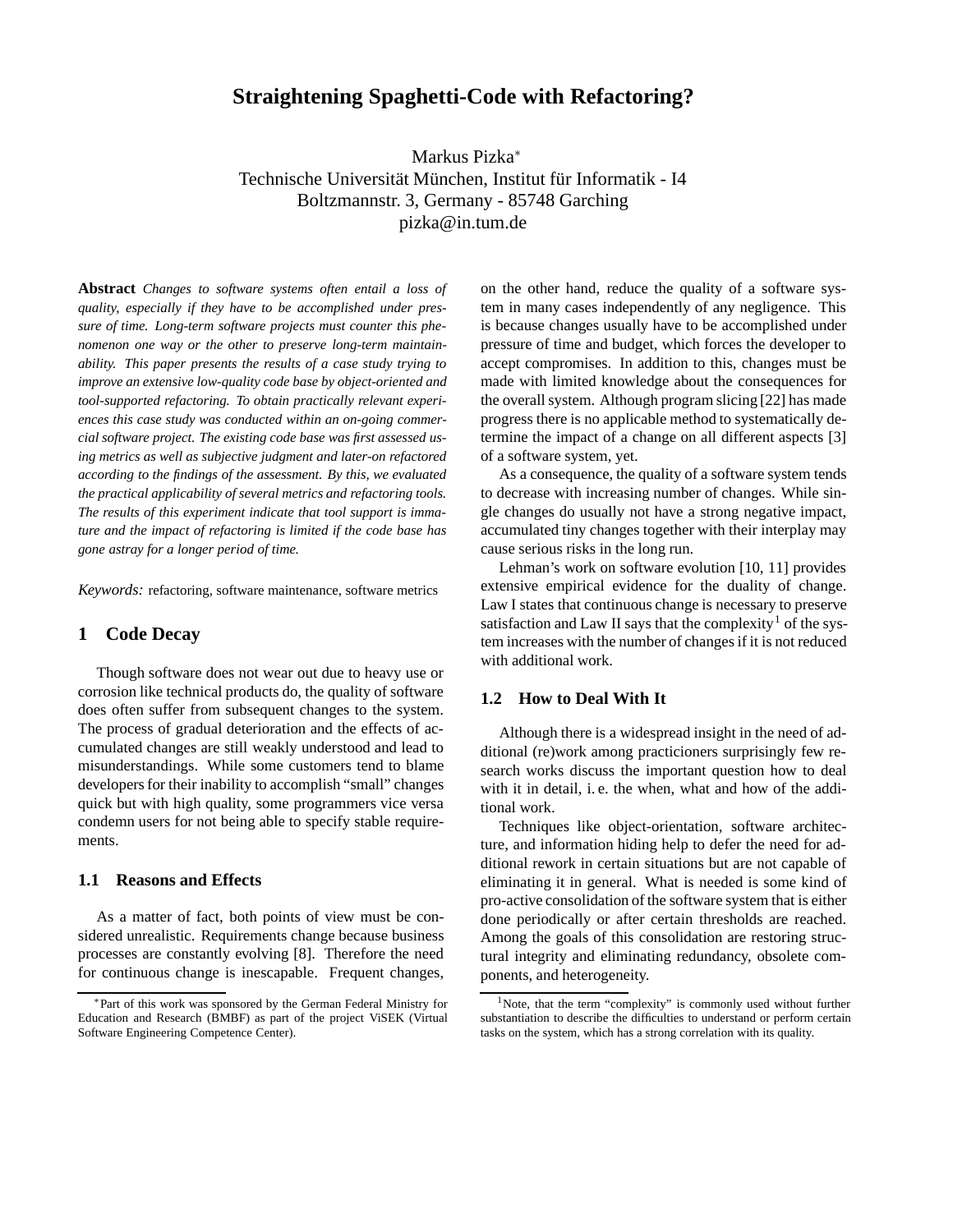# **Straightening Spaghetti-Code with Refactoring?**

Markus Pizka<sup>∗</sup> Technische Universität München, Institut für Informatik - I4 Boltzmannstr. 3, Germany - 85748 Garching pizka@in.tum.de

**Abstract** *Changes to software systems often entail a loss of quality, especially if they have to be accomplished under pressure of time. Long-term software projects must counter this phenomenon one way or the other to preserve long-term maintainability. This paper presents the results of a case study trying to improve an extensive low-quality code base by object-oriented and tool-supported refactoring. To obtain practically relevant experiences this case study was conducted within an on-going commercial software project. The existing code base was first assessed using metrics as well as subjective judgment and later-on refactored according to the findings of the assessment. By this, we evaluated the practical applicability of several metrics and refactoring tools. The results of this experiment indicate that tool support is immature and the impact of refactoring is limited if the code base has gone astray for a longer period of time.*

*Keywords:* refactoring, software maintenance, software metrics

# **1 Code Decay**

Though software does not wear out due to heavy use or corrosion like technical products do, the quality of software does often suffer from subsequent changes to the system. The process of gradual deterioration and the effects of accumulated changes are still weakly understood and lead to misunderstandings. While some customers tend to blame developers for their inability to accomplish "small" changes quick but with high quality, some programmers vice versa condemn users for not being able to specify stable requirements.

# **1.1 Reasons and Effects**

As a matter of fact, both points of view must be considered unrealistic. Requirements change because business processes are constantly evolving [8]. Therefore the need for continuous change is inescapable. Frequent changes, on the other hand, reduce the quality of a software system in many cases independently of any negligence. This is because changes usually have to be accomplished under pressure of time and budget, which forces the developer to accept compromises. In addition to this, changes must be made with limited knowledge about the consequences for the overall system. Although program slicing [22] has made progress there is no applicable method to systematically determine the impact of a change on all different aspects [3] of a software system, yet.

As a consequence, the quality of a software system tends to decrease with increasing number of changes. While single changes do usually not have a strong negative impact, accumulated tiny changes together with their interplay may cause serious risks in the long run.

Lehman's work on software evolution [10, 11] provides extensive empirical evidence for the duality of change. Law I states that continuous change is necessary to preserve satisfaction and Law II says that the complexity<sup>1</sup> of the system increases with the number of changes if it is not reduced with additional work.

# **1.2 How to Deal With It**

Although there is a widespread insight in the need of additional (re)work among practicioners surprisingly few research works discuss the important question how to deal with it in detail, i.e. the when, what and how of the additional work.

Techniques like object-orientation, software architecture, and information hiding help to defer the need for additional rework in certain situations but are not capable of eliminating it in general. What is needed is some kind of pro-active consolidation of the software system that is either done periodically or after certain thresholds are reached. Among the goals of this consolidation are restoring structural integrity and eliminating redundancy, obsolete components, and heterogeneity.

<sup>∗</sup>Part of this work was sponsored by the German Federal Ministry for Education and Research (BMBF) as part of the project ViSEK (Virtual Software Engineering Competence Center).

<sup>&</sup>lt;sup>1</sup>Note, that the term "complexity" is commonly used without further substantiation to describe the difficulties to understand or perform certain tasks on the system, which has a strong correlation with its quality.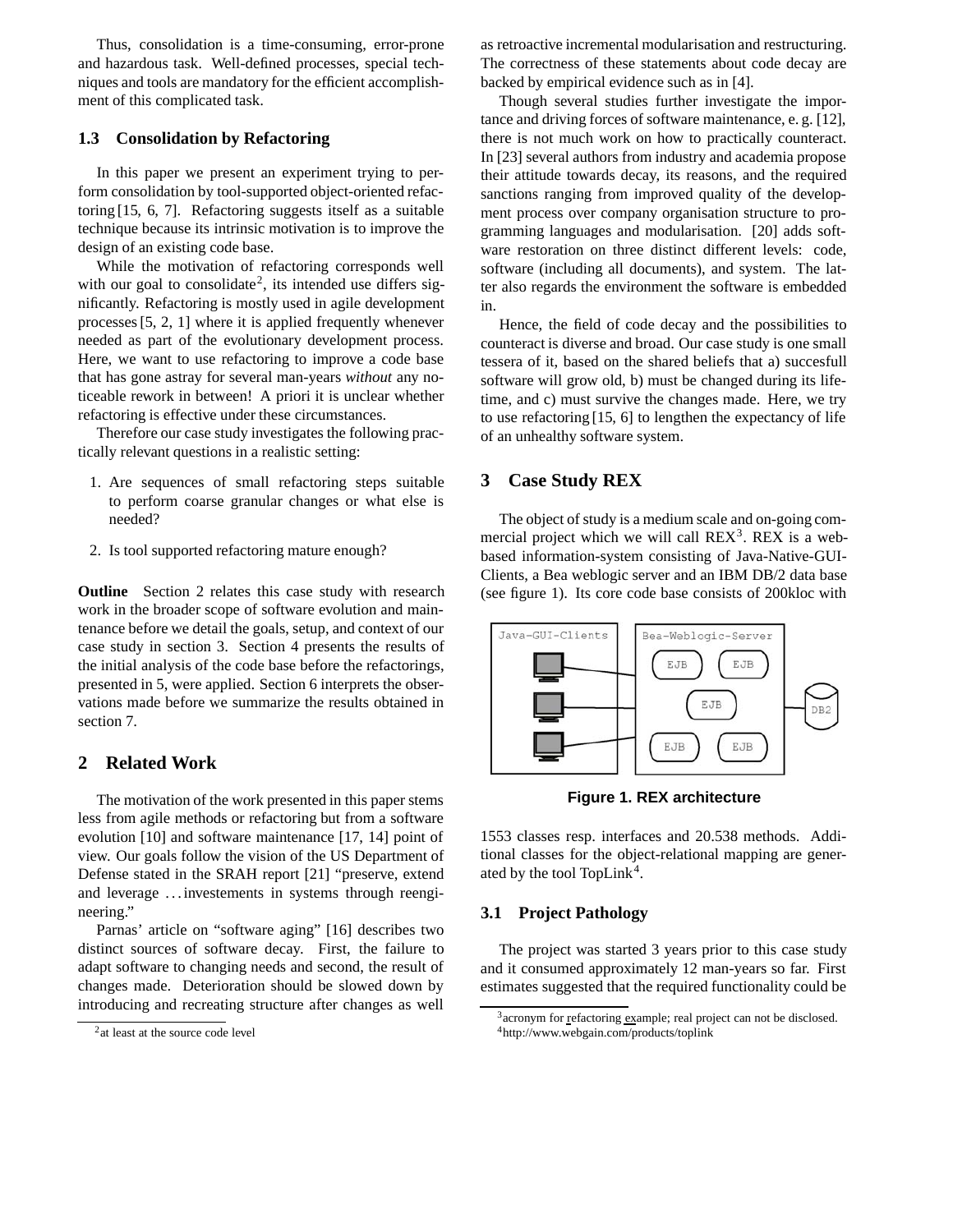Thus, consolidation is a time-consuming, error-prone and hazardous task. Well-defined processes, special techniques and tools are mandatory for the efficient accomplishment of this complicated task.

# **1.3 Consolidation by Refactoring**

In this paper we present an experiment trying to perform consolidation by tool-supported object-oriented refactoring [15, 6, 7]. Refactoring suggests itself as a suitable technique because its intrinsic motivation is to improve the design of an existing code base.

While the motivation of refactoring corresponds well with our goal to consolidate<sup>2</sup>, its intended use differs significantly. Refactoring is mostly used in agile development processes [5, 2, 1] where it is applied frequently whenever needed as part of the evolutionary development process. Here, we want to use refactoring to improve a code base that has gone astray for several man-years *without* any noticeable rework in between! A priori it is unclear whether refactoring is effective under these circumstances.

Therefore our case study investigates the following practically relevant questions in a realistic setting:

- 1. Are sequences of small refactoring steps suitable to perform coarse granular changes or what else is needed?
- 2. Is tool supported refactoring mature enough?

**Outline** Section 2 relates this case study with research work in the broader scope of software evolution and maintenance before we detail the goals, setup, and context of our case study in section 3. Section 4 presents the results of the initial analysis of the code base before the refactorings, presented in 5, were applied. Section 6 interprets the observations made before we summarize the results obtained in section 7.

# **2 Related Work**

The motivation of the work presented in this paper stems less from agile methods or refactoring but from a software evolution [10] and software maintenance [17, 14] point of view. Our goals follow the vision of the US Department of Defense stated in the SRAH report [21] "preserve, extend and leverage . . . investements in systems through reengineering."

Parnas' article on "software aging" [16] describes two distinct sources of software decay. First, the failure to adapt software to changing needs and second, the result of changes made. Deterioration should be slowed down by introducing and recreating structure after changes as well

as retroactive incremental modularisation and restructuring. The correctness of these statements about code decay are backed by empirical evidence such as in [4].

Though several studies further investigate the importance and driving forces of software maintenance, e. g. [12], there is not much work on how to practically counteract. In [23] several authors from industry and academia propose their attitude towards decay, its reasons, and the required sanctions ranging from improved quality of the development process over company organisation structure to programming languages and modularisation. [20] adds software restoration on three distinct different levels: code, software (including all documents), and system. The latter also regards the environment the software is embedded in.

Hence, the field of code decay and the possibilities to counteract is diverse and broad. Our case study is one small tessera of it, based on the shared beliefs that a) succesfull software will grow old, b) must be changed during its lifetime, and c) must survive the changes made. Here, we try to use refactoring [15, 6] to lengthen the expectancy of life of an unhealthy software system.

# **3 Case Study REX**

The object of study is a medium scale and on-going commercial project which we will call  $REX<sup>3</sup>$ . REX is a webbased information-system consisting of Java-Native-GUI-Clients, a Bea weblogic server and an IBM DB/2 data base (see figure 1). Its core code base consists of 200kloc with



**Figure 1. REX architecture**

1553 classes resp. interfaces and 20.538 methods. Additional classes for the object-relational mapping are generated by the tool TopLink<sup>4</sup>.

### **3.1 Project Pathology**

The project was started 3 years prior to this case study and it consumed approximately 12 man-years so far. First estimates suggested that the required functionality could be

<sup>&</sup>lt;sup>2</sup>at least at the source code level

<sup>&</sup>lt;sup>3</sup> acronym for refactoring example; real project can not be disclosed. 4http://www.webgain.com/products/toplink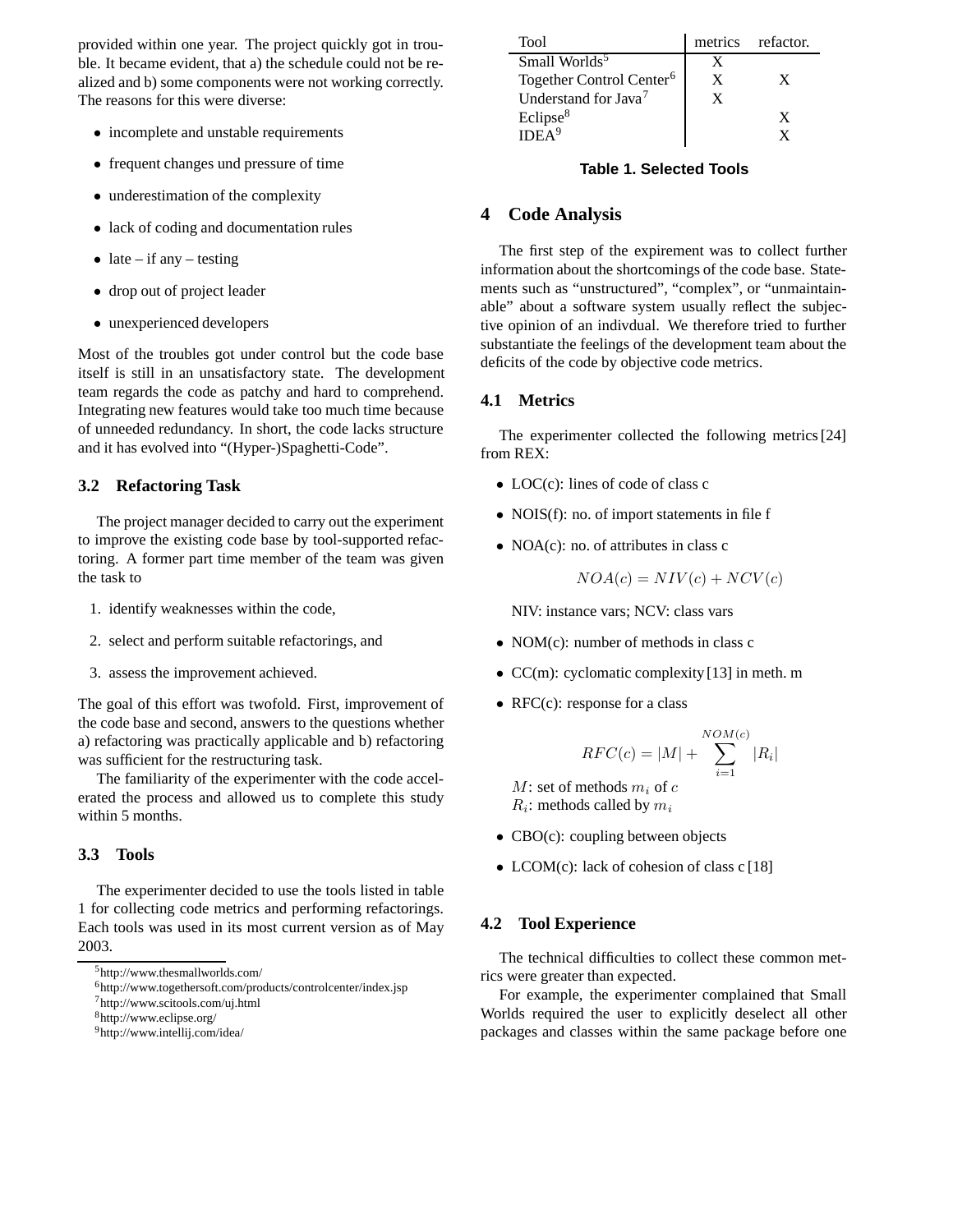provided within one year. The project quickly got in trouble. It became evident, that a) the schedule could not be realized and b) some components were not working correctly. The reasons for this were diverse:

- *•* incomplete and unstable requirements
- *•* frequent changes und pressure of time
- underestimation of the complexity
- *•* lack of coding and documentation rules
- late if any testing
- *•* drop out of project leader
- *•* unexperienced developers

Most of the troubles got under control but the code base itself is still in an unsatisfactory state. The development team regards the code as patchy and hard to comprehend. Integrating new features would take too much time because of unneeded redundancy. In short, the code lacks structure and it has evolved into "(Hyper-)Spaghetti-Code".

### **3.2 Refactoring Task**

The project manager decided to carry out the experiment to improve the existing code base by tool-supported refactoring. A former part time member of the team was given the task to

- 1. identify weaknesses within the code,
- 2. select and perform suitable refactorings, and
- 3. assess the improvement achieved.

The goal of this effort was twofold. First, improvement of the code base and second, answers to the questions whether a) refactoring was practically applicable and b) refactoring was sufficient for the restructuring task.

The familiarity of the experimenter with the code accelerated the process and allowed us to complete this study within 5 months.

# **3.3 Tools**

The experimenter decided to use the tools listed in table 1 for collecting code metrics and performing refactorings. Each tools was used in its most current version as of May 2003.

6http://www.togethersoft.com/products/controlcenter/index.jsp

7http://www.scitools.com/uj.html

8http://www.eclipse.org/

| Tool                                 |   | metrics refactor. |
|--------------------------------------|---|-------------------|
| Small Worlds <sup>5</sup>            |   |                   |
| Together Control Center <sup>6</sup> | X |                   |
| Understand for Java <sup>7</sup>     | X |                   |
| Eclipse <sup>8</sup>                 |   |                   |
| IDEA <sup>9</sup>                    |   |                   |

# **Table 1. Selected Tools**

# **4 Code Analysis**

The first step of the expirement was to collect further information about the shortcomings of the code base. Statements such as "unstructured", "complex", or "unmaintainable" about a software system usually reflect the subjective opinion of an indivdual. We therefore tried to further substantiate the feelings of the development team about the deficits of the code by objective code metrics.

# **4.1 Metrics**

The experimenter collected the following metrics [24] from REX:

- LOC(c): lines of code of class c
- *•* NOIS(f): no. of import statements in file f
- *•* NOA(c): no. of attributes in class c

$$
NOA(c) = NIV(c) + NCV(c)
$$

NIV: instance vars; NCV: class vars

- *•* NOM(c): number of methods in class c
- CC(m): cyclomatic complexity [13] in meth. m
- RFC(c): response for a class

$$
RFC(c) = |M| + \sum_{i=1}^{NOM(c)}|R_i|
$$

*M*: set of methods *m<sup>i</sup>* of *c Ri*: methods called by *m<sup>i</sup>*

- CBO(c): coupling between objects
- LCOM(c): lack of cohesion of class c [18]

#### **4.2 Tool Experience**

The technical difficulties to collect these common metrics were greater than expected.

For example, the experimenter complained that Small Worlds required the user to explicitly deselect all other packages and classes within the same package before one

<sup>5</sup>http://www.thesmallworlds.com/

<sup>9</sup>http://www.intellij.com/idea/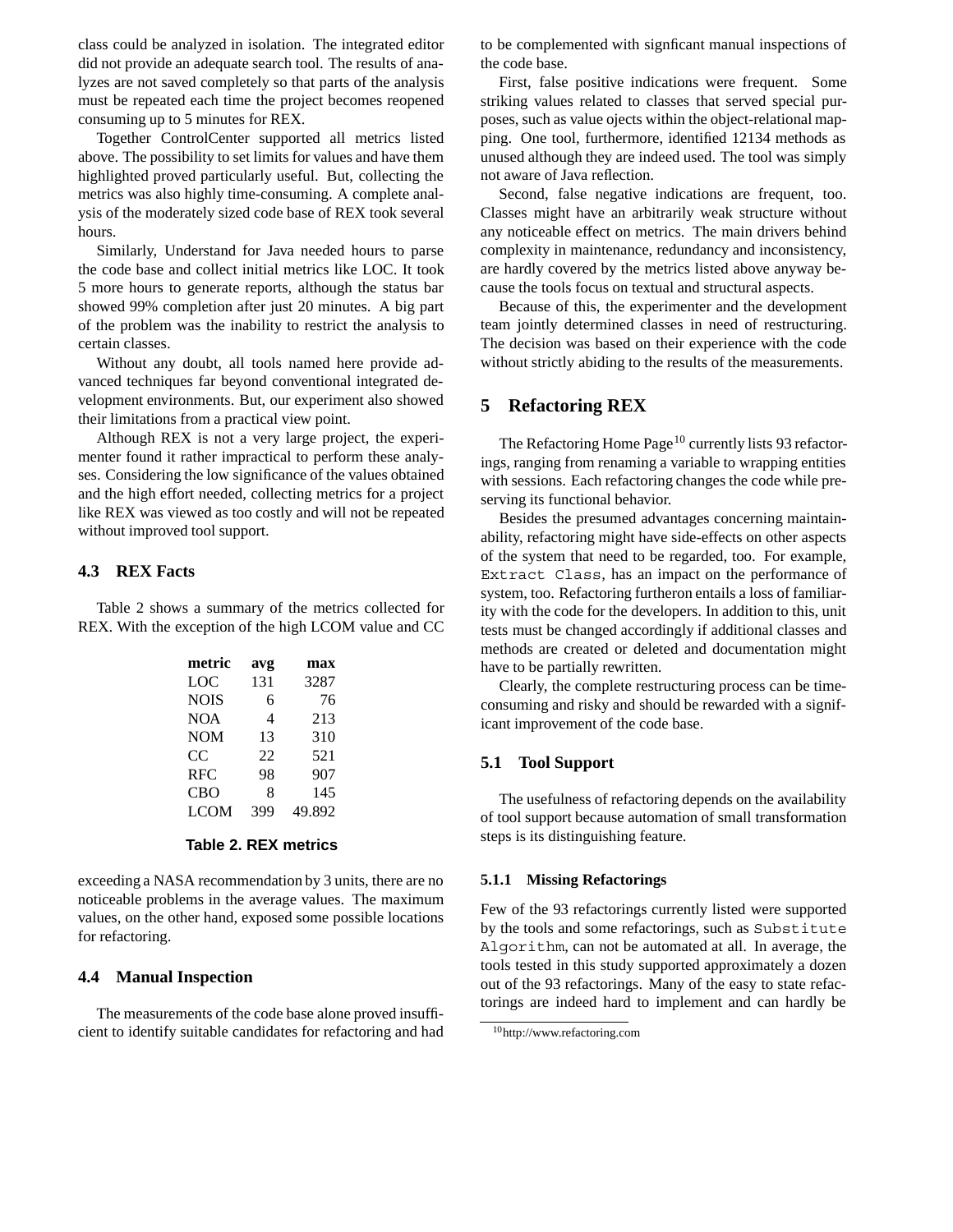class could be analyzed in isolation. The integrated editor did not provide an adequate search tool. The results of analyzes are not saved completely so that parts of the analysis must be repeated each time the project becomes reopened consuming up to 5 minutes for REX.

Together ControlCenter supported all metrics listed above. The possibility to set limits for values and have them highlighted proved particularly useful. But, collecting the metrics was also highly time-consuming. A complete analysis of the moderately sized code base of REX took several hours.

Similarly, Understand for Java needed hours to parse the code base and collect initial metrics like LOC. It took 5 more hours to generate reports, although the status bar showed 99% completion after just 20 minutes. A big part of the problem was the inability to restrict the analysis to certain classes.

Without any doubt, all tools named here provide advanced techniques far beyond conventional integrated development environments. But, our experiment also showed their limitations from a practical view point.

Although REX is not a very large project, the experimenter found it rather impractical to perform these analyses. Considering the low significance of the values obtained and the high effort needed, collecting metrics for a project like REX was viewed as too costly and will not be repeated without improved tool support.

#### **4.3 REX Facts**

Table 2 shows a summary of the metrics collected for REX. With the exception of the high LCOM value and CC

| metric      | avg | max    |
|-------------|-----|--------|
| LOC         | 131 | 3287   |
| <b>NOIS</b> | 6   | 76     |
| <b>NOA</b>  | 4   | 213    |
| <b>NOM</b>  | 13  | 310    |
| CC          | 22  | 521    |
| <b>RFC</b>  | 98  | 907    |
| <b>CBO</b>  | 8   | 145    |
| LCOM        | 399 | 49.892 |
|             |     |        |

#### **Table 2. REX metrics**

exceeding a NASA recommendation by 3 units, there are no noticeable problems in the average values. The maximum values, on the other hand, exposed some possible locations for refactoring.

#### **4.4 Manual Inspection**

The measurements of the code base alone proved insufficient to identify suitable candidates for refactoring and had to be complemented with signficant manual inspections of the code base.

First, false positive indications were frequent. Some striking values related to classes that served special purposes, such as value ojects within the object-relational mapping. One tool, furthermore, identified 12134 methods as unused although they are indeed used. The tool was simply not aware of Java reflection.

Second, false negative indications are frequent, too. Classes might have an arbitrarily weak structure without any noticeable effect on metrics. The main drivers behind complexity in maintenance, redundancy and inconsistency, are hardly covered by the metrics listed above anyway because the tools focus on textual and structural aspects.

Because of this, the experimenter and the development team jointly determined classes in need of restructuring. The decision was based on their experience with the code without strictly abiding to the results of the measurements.

# **5 Refactoring REX**

The Refactoring Home Page<sup>10</sup> currently lists 93 refactorings, ranging from renaming a variable to wrapping entities with sessions. Each refactoring changes the code while preserving its functional behavior.

Besides the presumed advantages concerning maintainability, refactoring might have side-effects on other aspects of the system that need to be regarded, too. For example, Extract Class, has an impact on the performance of system, too. Refactoring furtheron entails a loss of familiarity with the code for the developers. In addition to this, unit tests must be changed accordingly if additional classes and methods are created or deleted and documentation might have to be partially rewritten.

Clearly, the complete restructuring process can be timeconsuming and risky and should be rewarded with a significant improvement of the code base.

#### **5.1 Tool Support**

The usefulness of refactoring depends on the availability of tool support because automation of small transformation steps is its distinguishing feature.

#### **5.1.1 Missing Refactorings**

Few of the 93 refactorings currently listed were supported by the tools and some refactorings, such as Substitute Algorithm, can not be automated at all. In average, the tools tested in this study supported approximately a dozen out of the 93 refactorings. Many of the easy to state refactorings are indeed hard to implement and can hardly be

<sup>10</sup>http://www.refactoring.com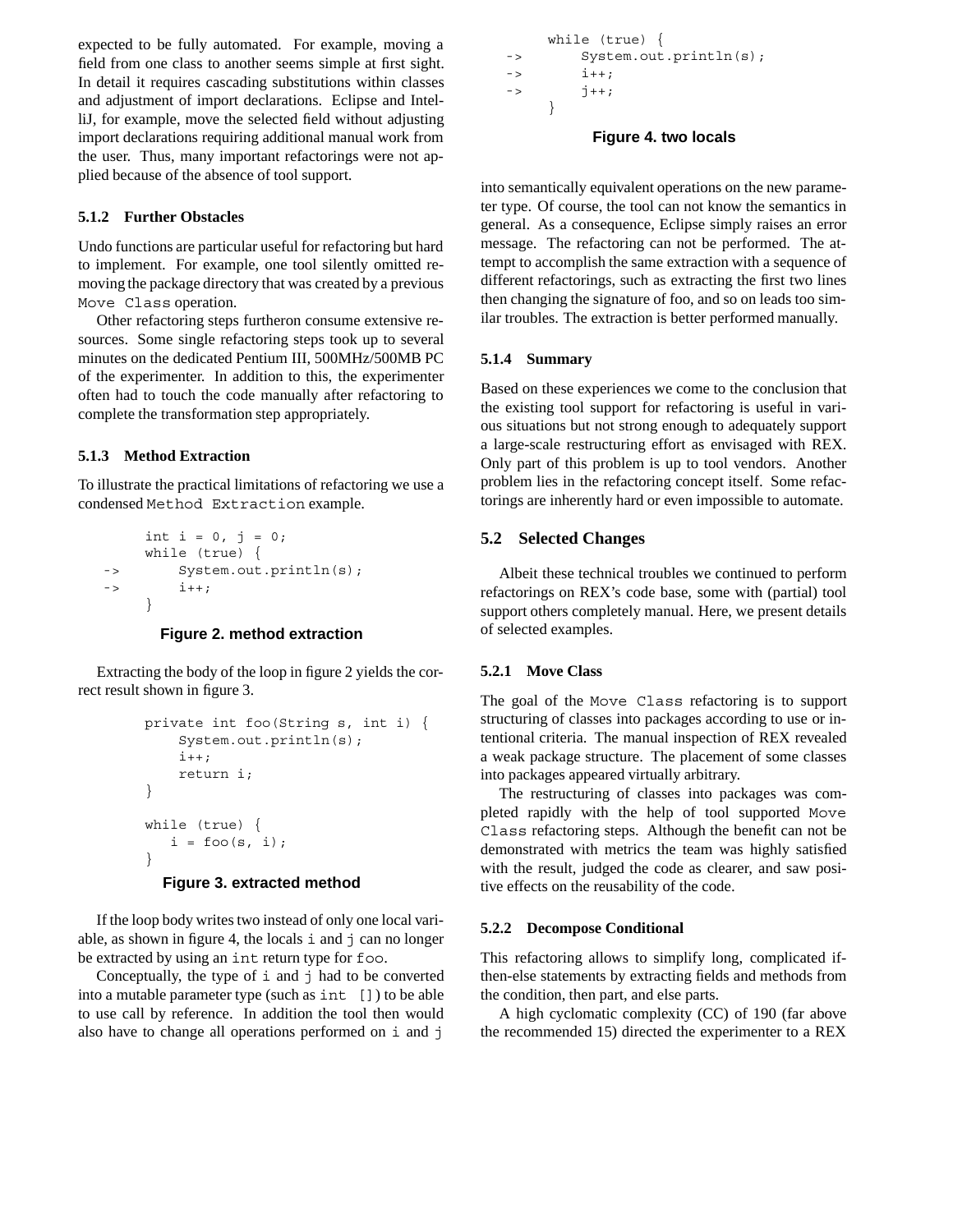expected to be fully automated. For example, moving a field from one class to another seems simple at first sight. In detail it requires cascading substitutions within classes and adjustment of import declarations. Eclipse and IntelliJ, for example, move the selected field without adjusting import declarations requiring additional manual work from the user. Thus, many important refactorings were not applied because of the absence of tool support.

# **5.1.2 Further Obstacles**

Undo functions are particular useful for refactoring but hard to implement. For example, one tool silently omitted removing the package directory that was created by a previous Move Class operation.

Other refactoring steps furtheron consume extensive resources. Some single refactoring steps took up to several minutes on the dedicated Pentium III, 500MHz/500MB PC of the experimenter. In addition to this, the experimenter often had to touch the code manually after refactoring to complete the transformation step appropriately.

# **5.1.3 Method Extraction**

To illustrate the practical limitations of refactoring we use a condensed Method Extraction example.

```
int i = 0, j = 0;while (true) {
-> System.out.println(s);
- > 1++;}
```
### **Figure 2. method extraction**

Extracting the body of the loop in figure 2 yields the correct result shown in figure 3.

```
private int foo(String s, int i) {
    System.out.println(s);
    i++:
    return i;
}
while (true) {
   i = f \circ \circ (s, i);}
```
### **Figure 3. extracted method**

If the loop body writes two instead of only one local variable, as shown in figure 4, the locals i and j can no longer be extracted by using an int return type for foo.

Conceptually, the type of  $\pm$  and  $\pm$  had to be converted into a mutable parameter type (such as int []) to be able to use call by reference. In addition the tool then would also have to change all operations performed on i and j

```
while (true) {
-> System.out.println(s);
\frac{1}{1} ++;
- > 1++;}
```
### **Figure 4. two locals**

into semantically equivalent operations on the new parameter type. Of course, the tool can not know the semantics in general. As a consequence, Eclipse simply raises an error message. The refactoring can not be performed. The attempt to accomplish the same extraction with a sequence of different refactorings, such as extracting the first two lines then changing the signature of foo, and so on leads too similar troubles. The extraction is better performed manually.

### **5.1.4 Summary**

Based on these experiences we come to the conclusion that the existing tool support for refactoring is useful in various situations but not strong enough to adequately support a large-scale restructuring effort as envisaged with REX. Only part of this problem is up to tool vendors. Another problem lies in the refactoring concept itself. Some refactorings are inherently hard or even impossible to automate.

# **5.2 Selected Changes**

Albeit these technical troubles we continued to perform refactorings on REX's code base, some with (partial) tool support others completely manual. Here, we present details of selected examples.

### **5.2.1 Move Class**

The goal of the Move Class refactoring is to support structuring of classes into packages according to use or intentional criteria. The manual inspection of REX revealed a weak package structure. The placement of some classes into packages appeared virtually arbitrary.

The restructuring of classes into packages was completed rapidly with the help of tool supported Move Class refactoring steps. Although the benefit can not be demonstrated with metrics the team was highly satisfied with the result, judged the code as clearer, and saw positive effects on the reusability of the code.

### **5.2.2 Decompose Conditional**

This refactoring allows to simplify long, complicated ifthen-else statements by extracting fields and methods from the condition, then part, and else parts.

A high cyclomatic complexity (CC) of 190 (far above the recommended 15) directed the experimenter to a REX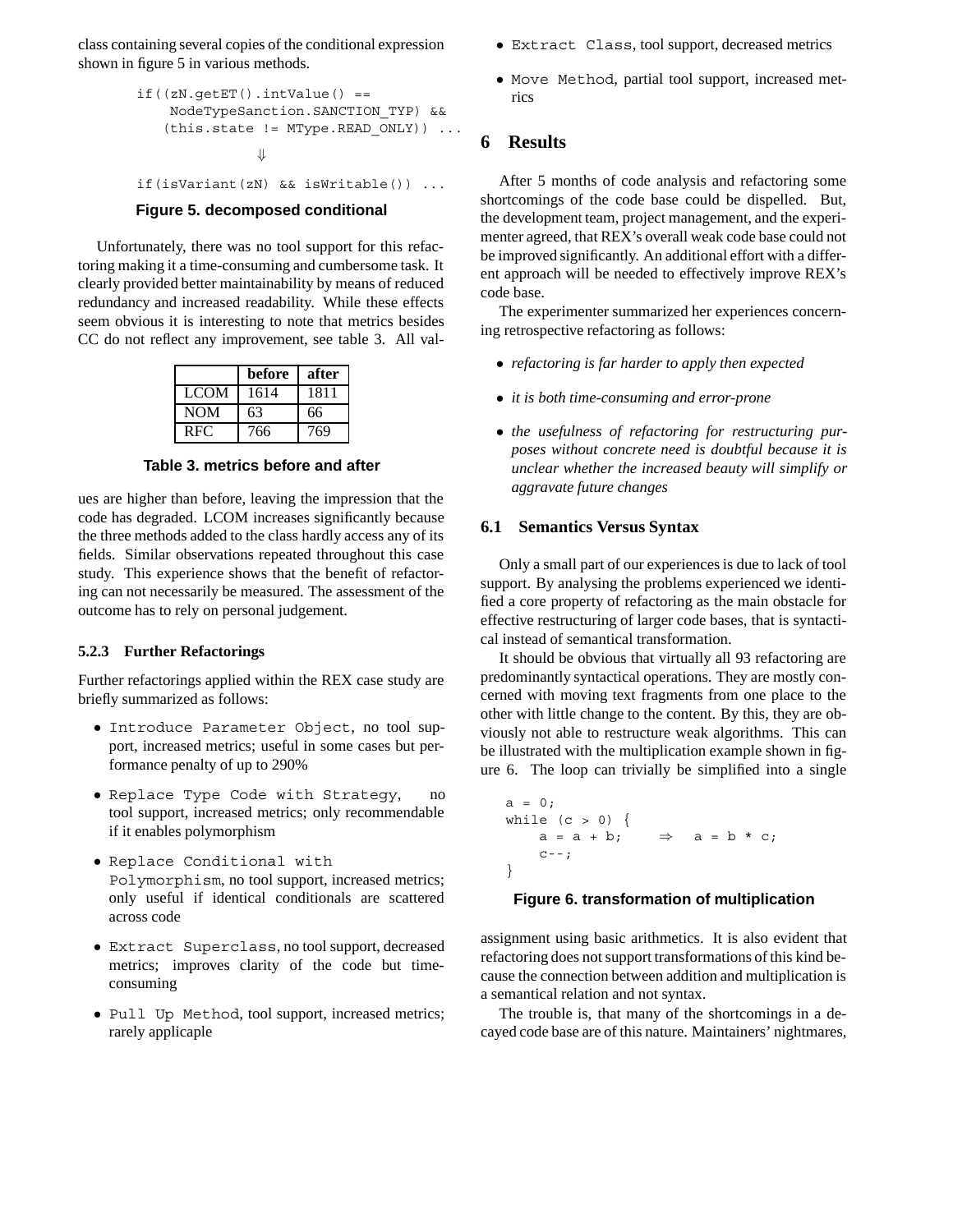class containing several copies of the conditional expression shown in figure 5 in various methods.

```
if((zN.getET)) .intValue() ==NodeTypeSanction.SANCTION_TYP) &&
   (this.state != MType.READ_ONLY)) ...
               ⇓
if(isVariant(zN) && isWritable()) ...
```
# **Figure 5. decomposed conditional**

Unfortunately, there was no tool support for this refactoring making it a time-consuming and cumbersome task. It clearly provided better maintainability by means of reduced redundancy and increased readability. While these effects seem obvious it is interesting to note that metrics besides CC do not reflect any improvement, see table 3. All val-

|             | before | after |
|-------------|--------|-------|
| <b>LCOM</b> | 1614   | 1811  |
| <b>NOM</b>  | 63     | 66    |
| <b>RFC</b>  | 766    | 769   |

**Table 3. metrics before and after**

ues are higher than before, leaving the impression that the code has degraded. LCOM increases significantly because the three methods added to the class hardly access any of its fields. Similar observations repeated throughout this case study. This experience shows that the benefit of refactoring can not necessarily be measured. The assessment of the outcome has to rely on personal judgement.

#### **5.2.3 Further Refactorings**

Further refactorings applied within the REX case study are briefly summarized as follows:

- *•* Introduce Parameter Object, no tool support, increased metrics; useful in some cases but performance penalty of up to 290%
- *•* Replace Type Code with Strategy, no tool support, increased metrics; only recommendable if it enables polymorphism
- *•* Replace Conditional with Polymorphism, no tool support, increased metrics; only useful if identical conditionals are scattered across code
- *•* Extract Superclass, no tool support, decreased metrics; improves clarity of the code but timeconsuming
- Pull Up Method, tool support, increased metrics; rarely applicaple
- *•* Extract Class, tool support, decreased metrics
- *•* Move Method, partial tool support, increased metrics

# **6 Results**

After 5 months of code analysis and refactoring some shortcomings of the code base could be dispelled. But, the development team, project management, and the experimenter agreed, that REX's overall weak code base could not be improved significantly. An additional effort with a different approach will be needed to effectively improve REX's code base.

The experimenter summarized her experiences concerning retrospective refactoring as follows:

- *• refactoring is far harder to apply then expected*
- *• it is both time-consuming and error-prone*
- *• the usefulness of refactoring for restructuring purposes without concrete need is doubtful because it is unclear whether the increased beauty will simplify or aggravate future changes*

### **6.1 Semantics Versus Syntax**

Only a small part of our experiences is due to lack of tool support. By analysing the problems experienced we identified a core property of refactoring as the main obstacle for effective restructuring of larger code bases, that is syntactical instead of semantical transformation.

It should be obvious that virtually all 93 refactoring are predominantly syntactical operations. They are mostly concerned with moving text fragments from one place to the other with little change to the content. By this, they are obviously not able to restructure weak algorithms. This can be illustrated with the multiplication example shown in figure 6. The loop can trivially be simplified into a single

```
a = 0;while (c > 0) {
    a = a + b;C--;}
                     \Rightarrow a = b * c;
```
#### **Figure 6. transformation of multiplication**

assignment using basic arithmetics. It is also evident that refactoring does not support transformations of this kind because the connection between addition and multiplication is a semantical relation and not syntax.

The trouble is, that many of the shortcomings in a decayed code base are of this nature. Maintainers' nightmares,